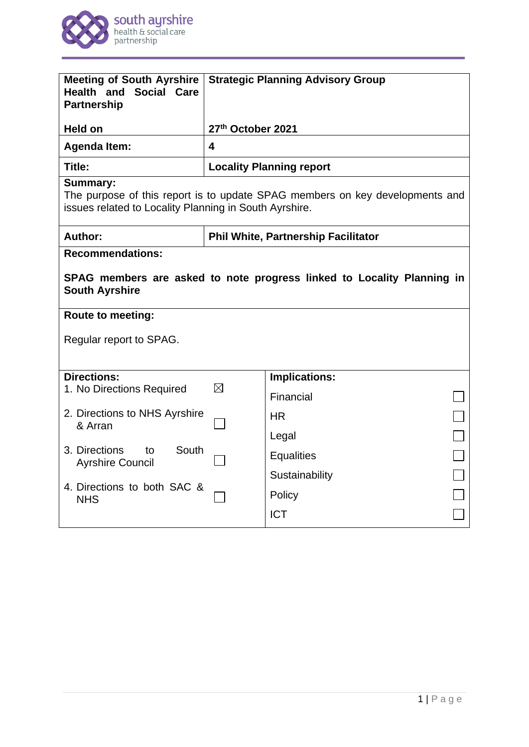

| <b>Meeting of South Ayrshire</b><br><b>Health and Social Care</b><br><b>Partnership</b>                                                                   | <b>Strategic Planning Advisory Group</b>   |                      |  |  |
|-----------------------------------------------------------------------------------------------------------------------------------------------------------|--------------------------------------------|----------------------|--|--|
| <b>Held on</b>                                                                                                                                            | 27th October 2021                          |                      |  |  |
| <b>Agenda Item:</b>                                                                                                                                       | $\overline{\mathbf{4}}$                    |                      |  |  |
| Title:                                                                                                                                                    | <b>Locality Planning report</b>            |                      |  |  |
| <b>Summary:</b><br>The purpose of this report is to update SPAG members on key developments and<br>issues related to Locality Planning in South Ayrshire. |                                            |                      |  |  |
| Author:                                                                                                                                                   | <b>Phil White, Partnership Facilitator</b> |                      |  |  |
| <b>Recommendations:</b>                                                                                                                                   |                                            |                      |  |  |
| SPAG members are asked to note progress linked to Locality Planning in<br><b>South Ayrshire</b>                                                           |                                            |                      |  |  |
| <b>Route to meeting:</b>                                                                                                                                  |                                            |                      |  |  |
| Regular report to SPAG.                                                                                                                                   |                                            |                      |  |  |
|                                                                                                                                                           |                                            |                      |  |  |
| <b>Directions:</b>                                                                                                                                        | $\boxtimes$                                | <b>Implications:</b> |  |  |
| 1. No Directions Required                                                                                                                                 |                                            | Financial            |  |  |
| 2. Directions to NHS Ayrshire<br>& Arran                                                                                                                  |                                            | HR.                  |  |  |
|                                                                                                                                                           |                                            | Legal                |  |  |
| 3. Directions<br>South<br>to<br><b>Ayrshire Council</b>                                                                                                   |                                            | <b>Equalities</b>    |  |  |
|                                                                                                                                                           |                                            | Sustainability       |  |  |
| 4. Directions to both SAC &<br><b>NHS</b>                                                                                                                 |                                            | Policy               |  |  |
|                                                                                                                                                           |                                            | <b>ICT</b>           |  |  |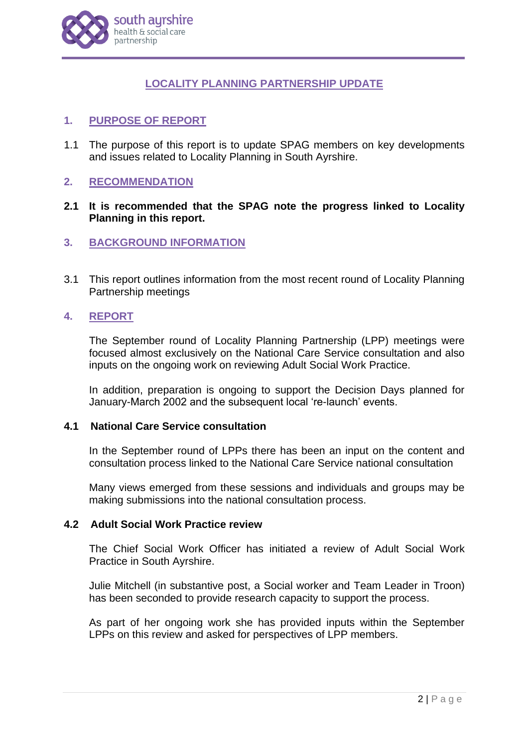

# **LOCALITY PLANNING PARTNERSHIP UPDATE**

# **1. PURPOSE OF REPORT**

1.1 The purpose of this report is to update SPAG members on key developments and issues related to Locality Planning in South Ayrshire.

# **2. RECOMMENDATION**

# **2.1 It is recommended that the SPAG note the progress linked to Locality Planning in this report.**

# **3. BACKGROUND INFORMATION**

3.1 This report outlines information from the most recent round of Locality Planning Partnership meetings

# **4. REPORT**

The September round of Locality Planning Partnership (LPP) meetings were focused almost exclusively on the National Care Service consultation and also inputs on the ongoing work on reviewing Adult Social Work Practice.

In addition, preparation is ongoing to support the Decision Days planned for January-March 2002 and the subsequent local 're-launch' events.

#### **4.1 National Care Service consultation**

In the September round of LPPs there has been an input on the content and consultation process linked to the National Care Service national consultation

Many views emerged from these sessions and individuals and groups may be making submissions into the national consultation process.

#### **4.2 Adult Social Work Practice review**

The Chief Social Work Officer has initiated a review of Adult Social Work Practice in South Ayrshire.

Julie Mitchell (in substantive post, a Social worker and Team Leader in Troon) has been seconded to provide research capacity to support the process.

As part of her ongoing work she has provided inputs within the September LPPs on this review and asked for perspectives of LPP members.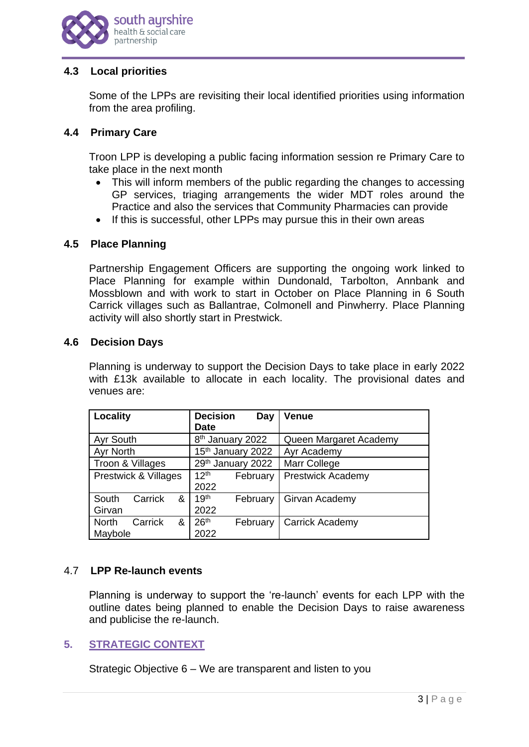

# **4.3 Local priorities**

Some of the LPPs are revisiting their local identified priorities using information from the area profiling.

### **4.4 Primary Care**

Troon LPP is developing a public facing information session re Primary Care to take place in the next month

- This will inform members of the public regarding the changes to accessing GP services, triaging arrangements the wider MDT roles around the Practice and also the services that Community Pharmacies can provide
- If this is successful, other LPPs may pursue this in their own areas

### **4.5 Place Planning**

Partnership Engagement Officers are supporting the ongoing work linked to Place Planning for example within Dundonald, Tarbolton, Annbank and Mossblown and with work to start in October on Place Planning in 6 South Carrick villages such as Ballantrae, Colmonell and Pinwherry. Place Planning activity will also shortly start in Prestwick.

### **4.6 Decision Days**

Planning is underway to support the Decision Days to take place in early 2022 with £13k available to allocate in each locality. The provisional dates and venues are:

| Locality                                | <b>Decision</b><br>Day<br><b>Date</b> | <b>Venue</b>             |
|-----------------------------------------|---------------------------------------|--------------------------|
| Ayr South                               | 8 <sup>th</sup> January 2022          | Queen Margaret Academy   |
| <b>Ayr North</b>                        | 15th January 2022                     | Ayr Academy              |
| Troon & Villages                        | 29th January 2022                     | Marr College             |
| Prestwick & Villages                    | 12 <sup>th</sup><br>February<br>2022  | <b>Prestwick Academy</b> |
| South<br>Carrick<br>&<br>Girvan         | 19 <sup>th</sup><br>February<br>2022  | Girvan Academy           |
| <b>North</b><br>Carrick<br>&<br>Maybole | 26 <sup>th</sup><br>February<br>2022  | <b>Carrick Academy</b>   |

# 4.7 **LPP Re-launch events**

Planning is underway to support the 're-launch' events for each LPP with the outline dates being planned to enable the Decision Days to raise awareness and publicise the re-launch.

# **5. STRATEGIC CONTEXT**

Strategic Objective 6 – We are transparent and listen to you